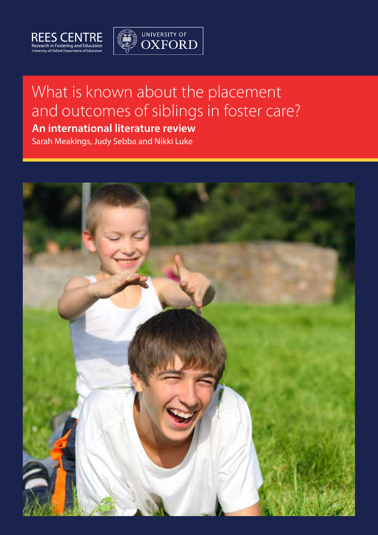



# What is known about the placement and outcomes of siblings in foster care?

## **An international literature review**

Sarah Meakings, Judy Sebba and Nikki Luke

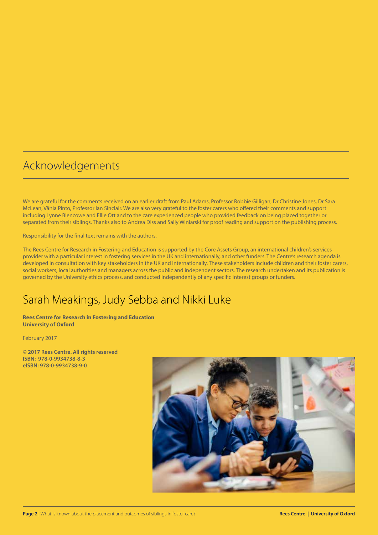## Acknowledgements

We are grateful for the comments received on an earlier draft from Paul Adams, Professor Robbie Gilligan, Dr Christine Jones, Dr Sara McLean, Vânia Pinto, Professor Ian Sinclair. We are also very grateful to the foster carers who offered their comments and support including Lynne Blencowe and Ellie Ott and to the care experienced people who provided feedback on being placed together or separated from their siblings. Thanks also to Andrea Diss and Sally Winiarski for proof reading and support on the publishing process.

Responsibility for the final text remains with the authors.

The Rees Centre for Research in Fostering and Education is supported by the Core Assets Group, an international children's services provider with a particular interest in fostering services in the UK and internationally, and other funders. The Centre's research agenda is developed in consultation with key stakeholders in the UK and internationally. These stakeholders include children and their foster carers, social workers, local authorities and managers across the public and independent sectors. The research undertaken and its publication is governed by the University ethics process, and conducted independently of any specific interest groups or funders.

## Sarah Meakings, Judy Sebba and Nikki Luke

**Rees Centre for Research in Fostering and Education University of Oxford**

February 2017

**© 2017 Rees Centre. All rights reserved ISBN: 978-0-9934738-8-3 eISBN: 978-0-9934738-9-0**

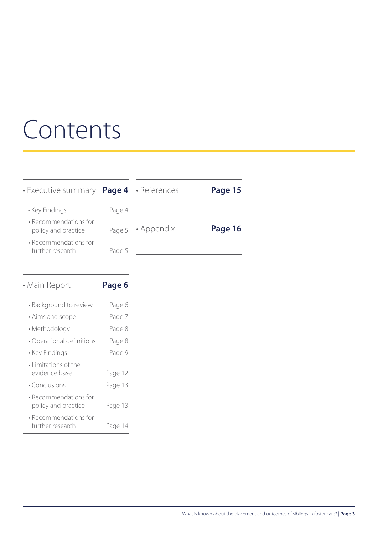# Contents

|        |            | Page 15                                                    |
|--------|------------|------------------------------------------------------------|
| Page 4 |            |                                                            |
| Page 5 | • Appendix | Page 16                                                    |
| Page 5 |            |                                                            |
|        |            | $\cdot$ Executive summary <b>Page 4</b> $\cdot$ References |

| • Main Report                                | Page 6  |
|----------------------------------------------|---------|
| • Background to review                       | Page 6  |
| • Aims and scope                             | Page 7  |
| • Methodology                                | Page 8  |
| • Operational definitions                    | Page 8  |
| • Key Findings                               | Page 9  |
| • Limitations of the<br>evidence base        | Page 12 |
| • Conclusions                                | Page 13 |
| • Recommendations for<br>policy and practice | Page 13 |
| • Recommendations for<br>further research    | Page 14 |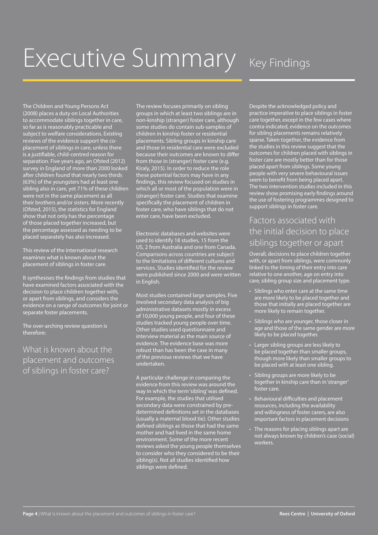# Executive Summary Key Findings

The Children and Young Persons Act (2008) places a duty on Local Authorities to accommodate siblings together in care, so far as is reasonably practicable and subject to welfare considerations. Existing reviews of the evidence support the coplacement of siblings in care, unless there is a justifiable, child-centred reason for separation. Five years ago, an Ofsted (2012) survey in England of more than 2000 looked after children found that nearly two thirds (63%) of the youngsters had at least one sibling also in care, yet 71% of these children were not in the same placement as all their brothers and/or sisters. More recently (Ofsted, 2015), the statistics for England show that not only has the percentage of those placed together increased, but the percentage assessed as needing to be placed separately has also increased.

This review of the international research examines what is known about the placement of siblings in foster care.

It synthesises the findings from studies that have examined factors associated with the decision to place children together with, or apart from siblings, and considers the evidence on a range of outcomes for joint or separate foster placements.

The over-arching review question is therefore:

What is known about the placement and outcomes of siblings in foster care?

The review focuses primarily on sibling groups in which at least two siblings are in non-kinship (stranger) foster care, although some studies do contain sub-samples of children in kinship foster or residential placements. Sibling groups in kinship care and those in residential care were excluded because their outcomes are known to differ from those in (stranger) foster care (e.g. Kiraly, 2015). In order to reduce the role these potential factors may have in any findings, this review focused on studies in which all or most of the population were in (stranger) foster care. Studies that examine specifically the placement of children in foster care, who have siblings that do not enter care, have been excluded.

Electronic databases and websites were used to identify 18 studies, 15 from the US, 2 from Australia and one from Canada. Comparisons across countries are subject to the limitations of different cultures and services. Studies identified for the review were published since 2000 and were written in English.

Most studies contained large samples. Five involved secondary data analysis of big administrative datasets mostly in excess of 10,000 young people, and four of these studies tracked young people over time. Other studies used questionnaire and interview material as the main source of evidence. The evidence base was more robust than has been the case in many of the previous reviews that we have undertaken.

A particular challenge in comparing the evidence from this review was around the way in which the term 'sibling' was defined. For example, the studies that utilised secondary data were constrained by predetermined definitions set in the databases (usually a maternal blood tie). Other studies defined siblings as those that had the same mother and had lived in the same home environment. Some of the more recent reviews asked the young people themselves to consider who they considered to be their sibling(s). Not all studies identified how siblings were defined.

Despite the acknowledged policy and practice imperative to place siblings in foster care together, except in the few cases where contra-indicated, evidence on the outcomes for sibling placements remains relatively sparse. Taken together, the evidence from the studies in this review suggest that the outcomes for children placed with siblings in foster care are mostly better than for those placed apart from siblings. Some young people with very severe behavioural issues seem to benefit from being placed apart. The two intervention studies included in this review show promising early findings around the use of fostering programmes designed to support siblings in foster care.

### Factors associated with the initial decision to place siblings together or apart

Overall, decisions to place children together with, or apart from siblings, were commonly linked to the timing of their entry into care relative to one another, age on entry into care, sibling group size and placement type.

- • Siblings who enter care at the same time are more likely to be placed together and those that initially are placed together are more likely to remain together.
- Siblings who are younger, those closer in age and those of the same gender are more likely to be placed together.
- Larger sibling groups are less likely to be placed together than smaller groups, though more likely than smaller groups to be placed with at least one sibling.
- • Sibling groups are more likely to be together in kinship care than in 'stranger' foster care.
- Behavioural difficulties and placement resources, including the availability and willingness of foster carers, are also important factors in placement decisions
- The reasons for placing siblings apart are not always known by children's case (social) workers.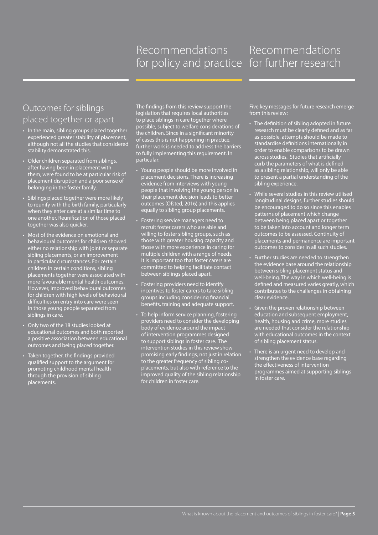## Recommendations for policy and practice for further research

# Recommendations

## Outcomes for siblings placed together or apart

- In the main, sibling groups placed together experienced greater stability of placement, although not all the studies that considered stability demonstrated this.
- • Older children separated from siblings, after having been in placement with them, were found to be at particular risk of placement disruption and a poor sense of belonging in the foster family.
- • Siblings placed together were more likely to reunify with the birth family, particularly when they enter care at a similar time to one another. Reunification of those placed together was also quicker.
- Most of the evidence on emotional and behavioural outcomes for children showed either no relationship with joint or separate sibling placements, or an improvement in particular circumstances. For certain children in certain conditions, sibling placements together were associated with more favourable mental health outcomes. However, improved behavioural outcomes for children with high levels of behavioural difficulties on entry into care were seen in those young people separated from siblings in care.
- • Only two of the 18 studies looked at educational outcomes and both reported a positive association between educational outcomes and being placed together.
- • Taken together, the findings provided qualified support to the argument for promoting childhood mental health through the provision of sibling placements.

The findings from this review support the legislation that requires local authorities to place siblings in care together where possible, subject to welfare considerations of the children. Since in a significant minority of cases this is not happening in practice, further work is needed to address the barriers to fully implementing this requirement. In particular:

- Young people should be more involved in placement decisions. There is increasing evidence from interviews with young people that involving the young person in their placement decision leads to better outcomes (Ofsted, 2016) and this applies equally to sibling group placements.
- Fostering service managers need to recruit foster carers who are able and willing to foster sibling groups, such as those with greater housing capacity and those with more experience in caring for multiple children with a range of needs. It is important too that foster carers are committed to helping facilitate contact between siblings placed apart.
- Fostering providers need to identify incentives to foster carers to take sibling groups including considering financial benefits, training and adequate support.
- To help inform service planning, fostering providers need to consider the developing body of evidence around the impact of intervention programmes designed to support siblings in foster care. The intervention studies in this review show promising early findings, not just in relation to the greater frequency of sibling coplacements, but also with reference to the improved quality of the sibling relationship for children in foster care.

Five key messages for future research emerge from this review:

- The definition of sibling adopted in future research must be clearly defined and as far as possible, attempts should be made to standardise definitions internationally in order to enable comparisons to be drawn across studies. Studies that artificially curb the parameters of what is defined as a sibling relationship, will only be able to present a partial understanding of the sibling experience.
- While several studies in this review utilised longitudinal designs, further studies should be encouraged to do so since this enables patterns of placement which change between being placed apart or together to be taken into account and longer term outcomes to be assessed. Continuity of placements and permanence are important outcomes to consider in all such studies.
- Further studies are needed to strengthen the evidence base around the relationship between sibling placement status and well-being. The way in which well-being is defined and measured varies greatly, which contributes to the challenges in obtaining clear evidence.
- • Given the proven relationship between education and subsequent employment, health, housing and crime, more studies are needed that consider the relationship with educational outcomes in the context of sibling placement status.
- There is an urgent need to develop and strengthen the evidence base regarding the effectiveness of intervention programmes aimed at supporting siblings in foster care.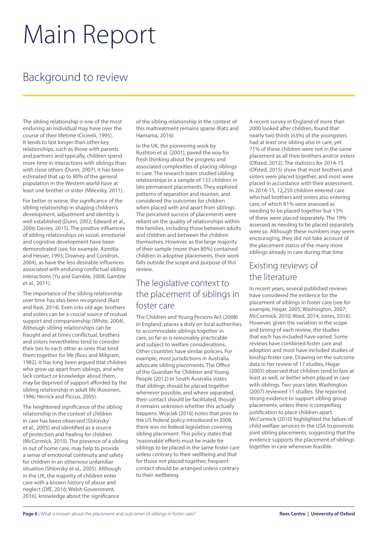# Main Report

## Background to review

The sibling relationship is one of the most enduring an individual may have over the course of their lifetime (Cicirelli, 1995). It tends to last longer than other key relationships, such as those with parents and partners and typically, children spend more time in interactions with siblings than with close others (Dunn, 2007). It has been estimated that up to 90% of the general population in the Western world have at least one brother or sister (Milevsky, 2011).

For better or worse, the significance of the sibling relationship in shaping children's development, adjustment and identity is well established (Dunn, 2002; Edward et al., 2006; Davies, 2015). The positive influences of sibling relationships on social, emotional and cognitive development have been demonstrated (see, for example, Azmitia and Hesser, 1993; Downey and Condron, 2004), as have the less desirable influences associated with enduring conflictual sibling interactions (Yu and Gamble, 2008; Gamble et al., 2011).

The importance of the sibling relationship over time has also been recognised (Rast and Rast, 2014). Even into old age, brothers and sisters can be a crucial source of mutual support and companionship (White, 2004). Although sibling relationships can be fraught and at times conflictual, brothers and sisters nevertheless tend to consider their ties to each other as ones that bind them together for life (Ross and Milgram, 1982). It has long been argued that children who grow up apart from siblings, and who lack contact or knowledge about them, may be deprived of support afforded by the sibling relationship in adult life (Kosonen, 1996; Herrick and Piccus, 2005).

The heightened significance of the sibling relationship in the context of children in care has been observed (Shlonsky et al., 2005) and identified as a source of protection and healing for children (McCormick, 2010). The presence of a sibling in out of home care, may help to provide a sense of emotional continuity and safety for children in an otherwise unfamiliar situation (Shlonsky et al., 2005). Although in the UK, the majority of children enter care with a known history of abuse and neglect (DfE, 2016; Welsh Government, 2016), knowledge about the significance

of the sibling relationship in the context of this maltreatment remains sparse (Katz and Hamama, 2016).

In the UK, the pioneering work by Rushton et al. (2001), paved the way for fresh thinking about the progress and associated complexities of placing siblings in care. The research team studied sibling relationships in a sample of 133 children in late permanent placements. They explored patterns of separation and reunion, and considered the outcomes for children when placed with and apart from siblings. The perceived success of placements were reliant on the quality of relationships within the families, including those between adults and children and between the children themselves. However, as the large majority of their sample (more than 80%) contained children in adoptive placements, their work falls outside the scope and purpose of this review.

### The legislative context to the placement of siblings in foster care

The Children and Young Persons Act (2008) in England, places a duty on local authorities to accommodate siblings together in care, so far as is reasonably practicable and subject to welfare considerations. Other countries have similar policies. For example, most jurisdictions in Australia advocate sibling placements. The Office of the Guardian for Children and Young People (2012) in South Australia states that siblings should be placed together whenever possible, and where separated, their contact should be facilitated, though it remains unknown whether this actually happens. Wojciak (2016) notes that prior to the US federal policy introduced in 2008, there was no federal legislation covering sibling placement. This policy states that 'reasonable' efforts must be made for siblings to be placed in the same foster care unless contrary to their wellbeing and that for those not placed together, frequent contact should be arranged unless contrary to their wellbeing.

A recent survey in England of more than 2000 looked after children, found that nearly two thirds (63%) of the youngsters had at least one sibling also in care, yet 71% of these children were not in the same placement as all their brothers and/or sisters (Ofsted, 2012). The statistics for 2014-15 (Ofsted, 2015) show that most brothers and sisters were placed together, and most were placed in accordance with their assessment. In 2014-15, 12,250 children entered care who had brothers and sisters also entering care, of which 81% were assessed as needing to be placed together but 13% of these were placed separately. The 19% assessed as needing to be placed separately were so. Although these numbers may seem encouraging, they did not take account of the placement status of the many more siblings already in care during that time.

### Existing reviews of the literature

In recent years, several published reviews have considered the evidence for the placement of siblings in foster care (see for example, Hegar, 2005; Washington, 2007; McCormick, 2010; Waid, 2014; Jones, 2016). However, given the variation in the scope and timing of each review, the studies that each has included have varied. Some reviews have combined foster care and adoption and most have included studies of kinship foster care. Drawing on the outcome data in her review of 17 studies, Hegar (2005) observed that children tend to fare at least as well, or better when placed in care with siblings. Two years later, Washington (2007) reviewed 11 studies. She reported strong evidence to support sibling group placements, unless there is compelling justification to place children apart. McCormick (2010) highlighted the failure of child welfare services in the USA to promote joint sibling placements, suggesting that the evidence supports the placement of siblings together in care whenever feasible.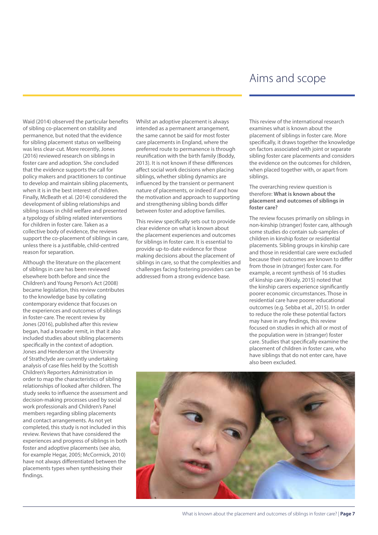## Aims and scope

Waid (2014) observed the particular benefits of sibling co-placement on stability and permanence, but noted that the evidence for sibling placement status on wellbeing was less clear-cut. More recently, Jones (2016) reviewed research on siblings in foster care and adoption. She concluded that the evidence supports the call for policy makers and practitioners to continue to develop and maintain sibling placements, when it is in the best interest of children. Finally, McBeath et al. (2014) considered the development of sibling relationships and sibling issues in child welfare and presented a typology of sibling related interventions for children in foster care. Taken as a collective body of evidence, the reviews support the co-placement of siblings in care, unless there is a justifiable, child-centred reason for separation.

Although the literature on the placement of siblings in care has been reviewed elsewhere both before and since the Children's and Young Person's Act (2008) became legislation, this review contributes to the knowledge base by collating contemporary evidence that focuses on the experiences and outcomes of siblings in foster-care. The recent review by Jones (2016), published after this review began, had a broader remit, in that it also included studies about sibling placements specifically in the context of adoption. Jones and Henderson at the University of Strathclyde are currently undertaking analysis of case files held by the Scottish Children's Reporters Administration in order to map the characteristics of sibling relationships of looked after children. The study seeks to influence the assessment and decision-making processes used by social work professionals and Children's Panel members regarding sibling placements and contact arrangements. As not yet completed, this study is not included in this review. Reviews that have considered the experiences and progress of siblings in both foster and adoptive placements (see also, for example Hegar, 2005; McCormick, 2010) have not always differentiated between the placements types when synthesising their findings.

Whilst an adoptive placement is always intended as a permanent arrangement, the same cannot be said for most foster care placements in England, where the preferred route to permanence is through reunification with the birth family (Boddy, 2013). It is not known if these differences affect social work decisions when placing siblings, whether sibling dynamics are influenced by the transient or permanent nature of placements, or indeed if and how the motivation and approach to supporting and strengthening sibling bonds differ between foster and adoptive families.

This review specifically sets out to provide clear evidence on what is known about the placement experiences and outcomes for siblings in foster care. It is essential to provide up-to-date evidence for those making decisions about the placement of siblings in care, so that the complexities and challenges facing fostering providers can be addressed from a strong evidence base.

This review of the international research examines what is known about the placement of siblings in foster care. More specifically, it draws together the knowledge on factors associated with joint or separate sibling foster care placements and considers the evidence on the outcomes for children, when placed together with, or apart from siblings.

The overarching review question is therefore: **What is known about the placement and outcomes of siblings in foster care?**

The review focuses primarily on siblings in non-kinship (stranger) foster care, although some studies do contain sub-samples of children in kinship foster or residential placements. Sibling groups in kinship care and those in residential care were excluded because their outcomes are known to differ from those in (stranger) foster care. For example, a recent synthesis of 16 studies of kinship care (Kiraly, 2015) noted that the kinship carers experience significantly poorer economic circumstances. Those in residential care have poorer educational outcomes (e.g. Sebba et al., 2015). In order to reduce the role these potential factors may have in any findings, this review focused on studies in which all or most of the population were in (stranger) foster care. Studies that specifically examine the placement of children in foster care, who have siblings that do not enter care, have also been excluded.

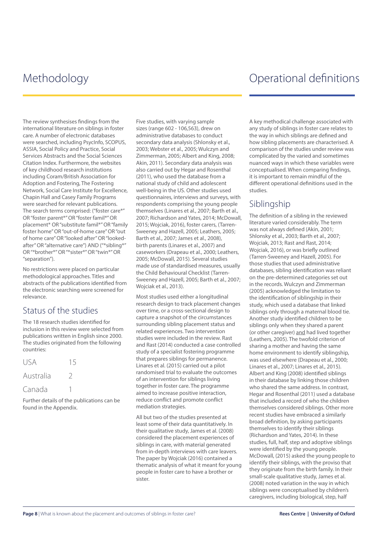## Methodology **Methodology** Methodology **Operational definitions**

The review synthesises findings from the international literature on siblings in foster care. A number of electronic databases were searched, including PsycInfo, SCOPUS, ASSIA, Social Policy and Practice, Social Services Abstracts and the Social Sciences Citation Index. Furthermore, the websites of key childhood research institutions including Coram/British Association for Adoption and Fostering, The Fostering Network, Social Care Institute for Excellence, Chapin Hall and Casey Family Programs were searched for relevant publications. The search terms comprised: ("foster care\*" OR "foster parent\*" OR "foster famil\*" OR placement\* OR "substitute famil\*" OR "family foster home" OR "out-of-home care" OR "out of home care" OR "looked after" OR "lookedafter" OR "alternative care") AND ("\*sibling\*" OR "\*brother\*" OR "\*sister\*" OR "twin\*" OR "separation").

No restrictions were placed on particular methodological approaches. Titles and abstracts of the publications identified from the electronic searching were screened for relevance.

### Status of the studies

The 18 research studies identified for inclusion in this review were selected from publications written in English since 2000. The studies originated from the following countries:

| <b>USA</b> | 15 |
|------------|----|
| Australia  |    |
| Canada     |    |

Further details of the publications can be found in the Appendix.

Five studies, with varying sample sizes (range 602 - 106,563), drew on administrative databases to conduct secondary data analysis (Shlonsky et al., 2003; Webster et al., 2005; Wulczyn and Zimmerman, 2005; Albert and King, 2008; Akin, 2011). Secondary data analysis was also carried out by Hegar and Rosenthal (2011), who used the database from a national study of child and adolescent well-being in the US. Other studies used questionnaires, interviews and surveys, with respondents comprising the young people themselves (Linares et al., 2007; Barth et al., 2007; Richardson and Yates, 2014; McDowall, 2015; Wojciak, 2016), foster carers, (Tarren-Sweeney and Hazell, 2005; Leathers, 2005; Barth et al., 2007; James et al., 2008), birth parents (Linares et al., 2007) and caseworkers (Drapeau et al., 2000; Leathers, 2005; McDowall, 2015). Several studies made use of standardised measures, usually the Child Behavioural Checklist (Tarren-Sweeney and Hazell, 2005; Barth et al., 2007; Wojciak et al., 2013).

Most studies used either a longitudinal research design to track placement changes over time, or a cross-sectional design to capture a snapshot of the circumstances surrounding sibling placement status and related experiences. Two intervention studies were included in the review. Rast and Rast (2014) conducted a case controlled study of a specialist fostering programme that prepares siblings for permanence. Linares et al. (2015) carried out a pilot randomised trial to evaluate the outcomes of an intervention for siblings living together in foster care. The programme aimed to increase positive interaction, reduce conflict and promote conflict mediation strategies.

All but two of the studies presented at least some of their data quantitatively. In their qualitative study, James et al. (2008) considered the placement experiences of siblings in care, with material generated from in-depth interviews with care leavers. The paper by Wojciak (2016) contained a thematic analysis of what it meant for young people in foster care to have a brother or sister.

A key methodical challenge associated with any study of siblings in foster care relates to the way in which siblings are defined and how sibling placements are characterised. A comparison of the studies under review was complicated by the varied and sometimes nuanced ways in which these variables were conceptualised. When comparing findings, it is important to remain mindful of the different operational definitions used in the studies.

### Siblingship

The definition of a sibling in the reviewed literature varied considerably. The term was not always defined (Akin, 2001; Shlonsky et al., 2003; Barth et al., 2007; Wojciak, 2013; Rast and Rast, 2014; Wojciak, 2016), or was briefly outlined (Tarren-Sweeney and Hazell, 2005). For those studies that used administrative databases, sibling identification was reliant on the pre-determined categories set out in the records. Wulczyn and Zimmerman (2005) acknowledged the limitation to the identification of siblingship in their study, which used a database that linked siblings only through a maternal blood tie. Another study identified children to be siblings only when they shared a parent (or other caregiver) and had lived together (Leathers, 2005). The twofold criterion of sharing a mother and having the same home environment to identify siblingship, was used elsewhere (Drapeau et al., 2000; Linares et al., 2007; Linares et al., 2015). Albert and King (2008) identified siblings in their database by linking those children who shared the same address. In contrast, Hegar and Rosenthal (2011) used a database that included a record of who the children themselves considered siblings. Other more recent studies have embraced a similarly broad definition, by asking participants themselves to identify their siblings (Richardson and Yates, 2014). In these studies, full, half, step and adoptive siblings were identified by the young people. McDowall, (2015) asked the young people to identify their siblings, with the proviso that they originate from the birth family. In their small-scale qualitative study, James et al. (2008) noted variation in the way in which siblings were conceptualised by children's caregivers, including biological, step, half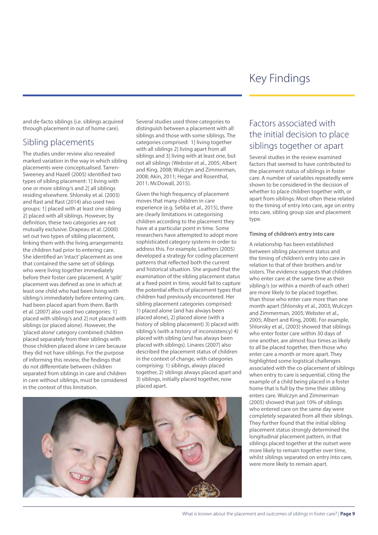## Key Findings

and de-facto siblings (i.e. siblings acquired through placement in out of home care).

### Sibling placements

The studies under review also revealed marked variation in the way in which sibling placements were conceptualised. Tarren-Sweeney and Hazell (2005) identified two types of sibling placement: 1] living with one or more sibling/s and 2] all siblings residing elsewhere. Shlonsky et al. (2003) and Rast and Rast (2014) also used two groups: 1] placed with at least one sibling 2] placed with all siblings. However, by definition, these two categories are not mutually exclusive. Drapeau et al. (2000) set out two types of sibling placement, linking them with the living arrangements the children had prior to entering care. She identified an 'intact' placement as one that contained the same set of siblings who were living together immediately before their foster care placement. A 'split' placement was defined as one in which at least one child who had been living with sibling/s immediately before entering care, had been placed apart from them. Barth et al. (2007) also used two categories: 1] placed with sibling/s and 2] not placed with siblings (or placed alone). However, the 'placed alone' category combined children placed separately from their siblings with those children placed alone in care because they did not have siblings. For the purpose of informing this review, the findings that do not differentiate between children separated from siblings in care and children in care without siblings, must be considered in the context of this limitation.

Several studies used three categories to distinguish between a placement with all siblings and those with some siblings. The categories comprised: 1] living together with all siblings 2] living apart from all siblings and 3] living with at least one, but not all siblings (Webster et al., 2005; Albert and King, 2008; Wulczyn and Zimmerman, 2008; Akin, 2011; Hegar and Rosenthal, 2011; McDowall, 2015).

Given the high frequency of placement moves that many children in care experience (e.g. Sebba et al., 2015), there are clearly limitations in categorising children according to the placement they have at a particular point in time. Some researchers have attempted to adopt more sophisticated category systems in order to address this. For example, Leathers (2005) developed a strategy for coding placement patterns that reflected both the current and historical situation. She argued that the examination of the sibling placement status at a fixed point in time, would fail to capture the potential effects of placement types that children had previously encountered. Her sibling placement categories comprised: 1) placed alone (and has always been placed alone), 2) placed alone (with a history of sibling placement) 3) placed with sibling/s (with a history of inconsistency) 4) placed with sibling (and has always been placed with siblings). Linares (2007) also described the placement status of children in the context of change, with categories comprising: 1) siblings, always placed together, 2) siblings always placed apart and 3) siblings, initially placed together, now placed apart.



## Factors associated with the initial decision to place siblings together or apart

Several studies in the review examined factors that seemed to have contributed to the placement status of siblings in foster care. A number of variables repeatedly were shown to be considered in the decision of whether to place children together with, or apart from siblings. Most often these related to the timing of entry into care, age on entry into care, sibling group size and placement type.

#### **Timing of children's entry into care**

A relationship has been established between sibling placement status and the timing of children's entry into care in relation to that of their brothers and/or sisters. The evidence suggests that children who enter care at the same time as their sibling/s (or within a month of each other) are more likely to be placed together, than those who enter care more than one month apart (Shlonsky et al., 2003; Wulczyn and Zimmerman, 2005; Webster et al., 2005; Albert and King, 2008). For example, Shlonsky et al., (2003) showed that siblings who enter foster care within 30 days of one another, are almost four times as likely to all be placed together, then those who enter care a month or more apart. They highlighted some logistical challenges associated with the co-placement of siblings when entry to care is sequential, citing the example of a child being placed in a foster home that is full by the time their sibling enters care. Wulczyn and Zimmerman (2005) showed that just 10% of siblings who entered care on the same day were completely separated from all their siblings. They further found that the initial sibling placement status strongly determined the longitudinal placement pattern, in that siblings placed together at the outset were more likely to remain together over time, whilst siblings separated on entry into care, were more likely to remain apart.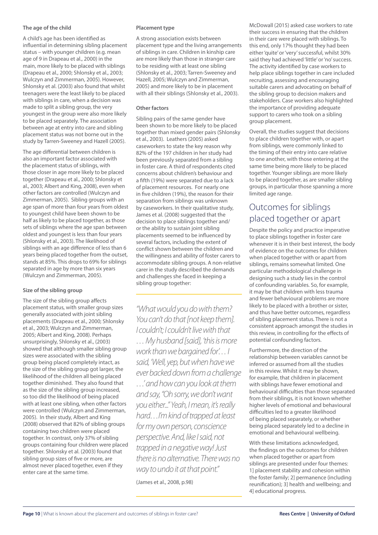#### **The age of the child**

A child's age has been identified as influential in determining sibling placement status – with younger children (e.g. mean age of 9 in Drapeau et al., 2000) in the main, more likely to be placed with siblings (Drapeau et al., 2000; Shlonsky et al., 2003; Wulczyn and Zimmerman, 2005). However, Shlonsky et al. (2003) also found that whilst teenagers were the least likely to be placed with siblings in care, when a decision was made to split a sibling group, the very youngest in the group were also more likely to be placed separately. The association between age at entry into care and sibling placement status was not borne out in the study by Tarren-Sweeney and Hazell (2005).

The age differential between children is also an important factor associated with the placement status of siblings, with those closer in age more likely to be placed together (Drapeau et al., 2000; Shlonsky et al., 2003; Albert and King, 2008), even when other factors are controlled (Wulczyn and Zimmerman, 2005). Sibling groups with an age span of more than four years from oldest to youngest child have been shown to be half as likely to be placed together, as those sets of siblings where the age span between oldest and youngest is less than four years (Shlonsky et al., 2003). The likelihood of siblings with an age difference of less than 6 years being placed together from the outset, stands at 85%. This drops to 69% for siblings separated in age by more than six years (Wulczyn and Zimmerman, 2005).

#### **Size of the sibling group**

The size of the sibling group affects placement status, with smaller group sizes generally associated with joint sibling placements (Drapeau et al., 2000; Shlonsky et al., 2003; Wulczyn and Zimmerman, 2005; Albert and King, 2008). Perhaps unsurprisingly, Shlonsky et al., (2003) showed that although smaller sibling group sizes were associated with the sibling group being placed completely intact, as the size of the sibling group got larger, the likelihood of the children all being placed together diminished. They also found that as the size of the sibling group increased, so too did the likelihood of being placed with at least one sibling, when other factors were controlled (Wulczyn and Zimmerman, 2005). In their study, Albert and King (2008) observed that 82% of sibling groups containing two children were placed together. In contrast, only 37% of sibling groups containing four children were placed together. Shlonsky et al. (2003) found that sibling group sizes of five or more, are almost never placed together, even if they enter care at the same time.

#### **Placement type**

A strong association exists between placement type and the living arrangements of siblings in care. Children in kinship care are more likely than those in stranger care to be residing with at least one sibling (Shlonsky et al., 2003; Tarren-Sweeney and Hazell, 2005; Wulczyn and Zimmerman, 2005) and more likely to be in placement with all their siblings (Shlonsky et al., 2003).

#### **Other factors**

Sibling pairs of the same gender have been shown to be more likely to be placed together than mixed gender pairs (Shlonsky et al., 2003). Leathers (2005) asked caseworkers to state the key reason why 82% of the 197 children in her study had been previously separated from a sibling in foster care. A third of respondents cited concerns about children's behaviour and a fifth (19%) were separated due to a lack of placement resources. For nearly one in five children (19%), the reason for their separation from siblings was unknown by caseworkers. In their qualitative study, James et al. (2008) suggested that the decision to place siblings together and/ or the ability to sustain joint sibling placements seemed to be influenced by several factors, including the extent of conflict shown between the children and the willingness and ability of foster carers to accommodate sibling groups. A non-relative carer in the study described the demands and challenges she faced in keeping a sibling group together:

*"What would you do with them? You can't do that [not keep them]. I couldn't; I couldn't live with that … My husband [said], 'this is more work than we bargained for'… I said, 'Well, yep, but when have we ever backed down from a challenge …' and how can you look at them and say, "Oh sorry, we don't want you either..." Yeah, I mean, it's really hard…I'm kind of trapped at least for my own person, conscience perspective. And, like I said, not trapped in a negative way! Just there is no alternative. There was no way to undo it at that point."*  (James et al., 2008, p.98)

McDowall (2015) asked case workers to rate their success in ensuring that the children in their care were placed with siblings. To this end, only 17% thought they had been either 'quite' or 'very' successful, whilst 30% said they had achieved 'little' or 'no' success. The activity identified by case workers to help place siblings together in care included recruiting, assessing and encouraging suitable carers and advocating on behalf of the sibling group to decision makers and stakeholders. Case workers also highlighted the importance of providing adequate support to carers who took on a sibling group placement.

Overall, the studies suggest that decisions to place children together with, or apart from siblings, were commonly linked to the timing of their entry into care relative to one another, with those entering at the same time being more likely to be placed together. Younger siblings are more likely to be placed together, as are smaller sibling groups, in particular those spanning a more limited age range.

### Outcomes for siblings placed together or apart

Despite the policy and practice imperative to place siblings together in foster care whenever it is in their best interest, the body of evidence on the outcomes for children when placed together with or apart from siblings, remains somewhat limited. One particular methodological challenge in designing such a study lies in the control of confounding variables. So, for example, it may be that children with less trauma and fewer behavioural problems are more likely to be placed with a brother or sister, and thus have better outcomes, regardless of sibling placement status. There is not a consistent approach amongst the studies in this review, in controlling for the effects of potential confounding factors.

Furthermore, the direction of the relationship between variables cannot be inferred or assumed from all the studies in this review. Whilst it may be shown, for example, that children in placement with siblings have fewer emotional and behavioural difficulties than those separated from their siblings, it is not known whether higher levels of emotional and behavioural difficulties led to a greater likelihood of being placed separately, or whether being placed separately led to a decline in emotional and behavioural wellbeing.

With these limitations acknowledged, the findings on the outcomes for children when placed together or apart from siblings are presented under four themes: 1] placement stability and cohesion within the foster family; 2] permanence (including reunification); 3] health and wellbeing; and 4] educational progress.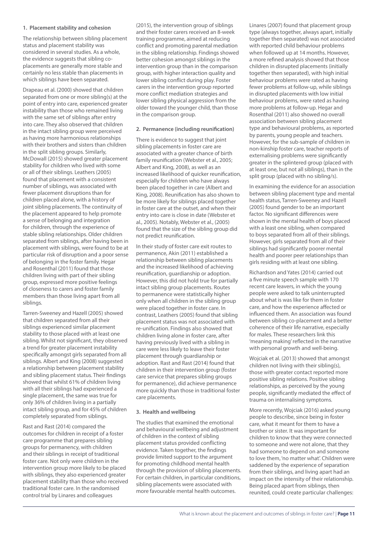#### **1. Placement stability and cohesion**

The relationship between sibling placement status and placement stability was considered in several studies. As a whole, the evidence suggests that sibling coplacements are generally more stable and certainly no less stable than placements in which siblings have been separated.

Drapeau et al. (2000) showed that children separated from one or more sibling(s) at the point of entry into care, experienced greater instability than those who remained living with the same set of siblings after entry into care. They also observed that children in the intact sibling group were perceived as having more harmonious relationships with their brothers and sisters than children in the split sibling groups. Similarly, McDowall (2015) showed greater placement stability for children who lived with some or all of their siblings. Leathers (2005) found that placement with a consistent number of siblings, was associated with fewer placement disruptions than for children placed alone, with a history of joint sibling placements. The continuity of the placement appeared to help promote a sense of belonging and integration for children, through the experience of stable sibling relationships. Older children separated from siblings, after having been in placement with siblings, were found to be at particular risk of disruption and a poor sense of belonging in the foster family. Hegar and Rosenthal (2011) found that those children living with part of their sibling group, expressed more positive feelings of closeness to carers and foster family members than those living apart from all siblings.

Tarren-Sweeney and Hazell (2005) showed that children separated from all their siblings experienced similar placement stability to those placed with at least one sibling. Whilst not significant, they observed a trend for greater placement instability specifically amongst girls separated from all siblings. Albert and King (2008) suggested a relationship between placement stability and sibling placement status. Their findings showed that whilst 61% of children living with all their siblings had experienced a single placement, the same was true for only 36% of children living in a partially intact sibling group, and for 45% of children completely separated from siblings.

Rast and Rast (2014) compared the outcomes for children in receipt of a foster care programme that prepares sibling groups for permanency, with children and their siblings in receipt of traditional foster care. Not only were children in the intervention group more likely to be placed with siblings, they also experienced greater placement stability than those who received traditional foster care. In the randomised control trial by Linares and colleagues

(2015), the intervention group of siblings and their foster carers received an 8-week training programme, aimed at reducing conflict and promoting parental mediation in the sibling relationship. Findings showed better cohesion amongst siblings in the intervention group than in the comparison group, with higher interaction quality and lower sibling conflict during play. Foster carers in the intervention group reported more conflict mediation strategies and lower sibling physical aggression from the older toward the younger child, than those in the comparison group.

#### **2. Permanence (including reunification)**

There is evidence to suggest that joint sibling placements in foster care are associated with a greater chance of birth family reunification (Webster et al., 2005; Albert and King, 2008), as well as an increased likelihood of quicker reunification, especially for children who have always been placed together in care (Albert and King, 2008). Reunification has also shown to be more likely for siblings placed together in foster care at the outset, and when their entry into care is close in date (Webster et al., 2005). Notably, Webster et al., (2005) found that the size of the sibling group did not predict reunification.

In their study of foster care exit routes to permanence, Akin (2011) established a relationship between sibling placements and the increased likelihood of achieving reunification, guardianship or adoption. However, this did not hold true for partially intact sibling group placements. Routes to permanence were statistically higher only when all children in the sibling group were placed together in foster care. In contrast, Leathers (2005) found that sibling placement status was not associated with re-unification. Findings also showed that children living alone in foster care, after having previously lived with a sibling in care were less likely to leave their foster placement through guardianship or adoption. Rast and Rast (2014) found that children in their intervention group (foster care service that prepares sibling groups for permanence), did achieve permanence more quickly than those in traditional foster care placements.

#### **3. Health and wellbeing**

The studies that examined the emotional and behavioural wellbeing and adjustment of children in the context of sibling placement status provided conflicting evidence. Taken together, the findings provide limited support to the argument for promoting childhood mental health through the provision of sibling placements. For certain children, in particular conditions, sibling placements were associated with more favourable mental health outcomes.

Linares (2007) found that placement group type (always together, always apart, initially together then separated) was not associated with reported child behaviour problems when followed up at 14 months. However, a more refined analysis showed that those children in disrupted placements (initially together then separated), with high initial behaviour problems were rated as having fewer problems at follow-up, while siblings in disrupted placements with low initial behaviour problems, were rated as having more problems at follow-up. Hegar and Rosenthal (2011) also showed no overall association between sibling placement type and behavioural problems, as reported by parents, young people and teachers. However, for the sub-sample of children in non-kinship foster care, teacher reports of externalising problems were significantly greater in the splintered group (placed with at least one, but not all siblings), than in the split group (placed with no sibling/s).

In examining the evidence for an association between sibling placement type and mental health status, Tarren-Sweeney and Hazell (2005) found gender to be an important factor. No significant differences were shown in the mental health of boys placed with a least one sibling, when compared to boys separated from all of their siblings. However, girls separated from all of their siblings had significantly poorer mental health and poorer peer relationships than girls residing with at least one sibling.

Richardson and Yates (2014) carried out a five minute speech sample with 170 recent care leavers, in which the young people were asked to talk uninterrupted about what is was like for them in foster care, and how the experience affected or influenced them. An association was found between sibling co-placement and a better coherence of their life narrative, especially for males. These researchers link this 'meaning making' reflected in the narrative with personal growth and well-being.

Wojciak et al. (2013) showed that amongst children not living with their sibling(s), those with greater contact reported more positive sibling relations. Positive sibling relationships, as perceived by the young people, significantly mediated the effect of trauma on internalising symptoms.

More recently, Wojciak (2016) asked young people to describe, since being in foster care, what it meant for them to have a brother or sister. It was important for children to know that they were connected to someone and were not alone, that they had someone to depend on and someone to love them, 'no matter what'. Children were saddened by the experience of separation from their siblings, and living apart had an impact on the intensity of their relationship. Being placed apart from siblings, then reunited, could create particular challenges: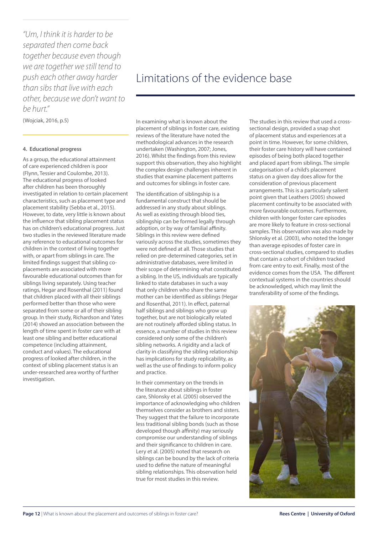*"Um, I think it is harder to be separated then come back together because even though we are together we still tend to push each other away harder than sibs that live with each other, because we don't want to be hurt."*

(Wojciak, 2016, p.5)

#### **4. Educational progress**

As a group, the educational attainment of care experienced children is poor (Flynn, Tessier and Coulombe, 2013). The educational progress of looked after children has been thoroughly investigated in relation to certain placement characteristics, such as placement type and placement stability (Sebba et al., 2015). However, to date, very little is known about the influence that sibling placement status has on children's educational progress. Just two studies in the reviewed literature made any reference to educational outcomes for children in the context of living together with, or apart from siblings in care. The limited findings suggest that sibling coplacements are associated with more favourable educational outcomes than for siblings living separately. Using teacher ratings, Hegar and Rosenthal (2011) found that children placed with all their siblings performed better than those who were separated from some or all of their sibling group. In their study, Richardson and Yates (2014) showed an association between the length of time spent in foster care with at least one sibling and better educational competence (including attainment, conduct and values). The educational progress of looked after children, in the context of sibling placement status is an under-researched area worthy of further investigation.

## Limitations of the evidence base

In examining what is known about the placement of siblings in foster care, existing reviews of the literature have noted the methodological advances in the research undertaken (Washington, 2007; Jones, 2016). Whilst the findings from this review support this observation, they also highlight the complex design challenges inherent in studies that examine placement patterns and outcomes for siblings in foster care.

The identification of siblingship is a fundamental construct that should be addressed in any study about siblings. As well as existing through blood ties, siblingship can be formed legally through adoption, or by way of familial affinity. Siblings in this review were defined variously across the studies, sometimes they were not defined at all. Those studies that relied on pre-determined categories, set in administrative databases, were limited in their scope of determining what constituted a sibling. In the US, individuals are typically linked to state databases in such a way that only children who share the same mother can be identified as siblings (Hegar and Rosenthal, 2011). In effect, paternal half siblings and siblings who grow up together, but are not biologically related are not routinely afforded sibling status. In essence, a number of studies in this review considered only some of the children's sibling networks. A rigidity and a lack of clarity in classifying the sibling relationship has implications for study replicability, as well as the use of findings to inform policy and practice.

In their commentary on the trends in the literature about siblings in foster care, Shlonsky et al. (2005) observed the importance of acknowledging who children themselves consider as brothers and sisters. They suggest that the failure to incorporate less traditional sibling bonds (such as those developed though affinity) may seriously compromise our understanding of siblings and their significance to children in care. Lery et al. (2005) noted that research on siblings can be bound by the lack of criteria used to define the nature of meaningful sibling relationships. This observation held true for most studies in this review.

The studies in this review that used a crosssectional design, provided a snap shot of placement status and experiences at a point in time. However, for some children, their foster care history will have contained episodes of being both placed together and placed apart from siblings. The simple categorisation of a child's placement status on a given day does allow for the consideration of previous placement arrangements. This is a particularly salient point given that Leathers (2005) showed placement continuity to be associated with more favourable outcomes. Furthermore, children with longer foster care episodes are more likely to feature in cross-sectional samples. This observation was also made by Shlonsky et al. (2003), who noted the longer than average episodes of foster care in cross-sectional studies, compared to studies that contain a cohort of children tracked from care entry to exit. Finally, most of the evidence comes from the USA. The different contextual systems in the countries should be acknowledged, which may limit the transferability of some of the findings.

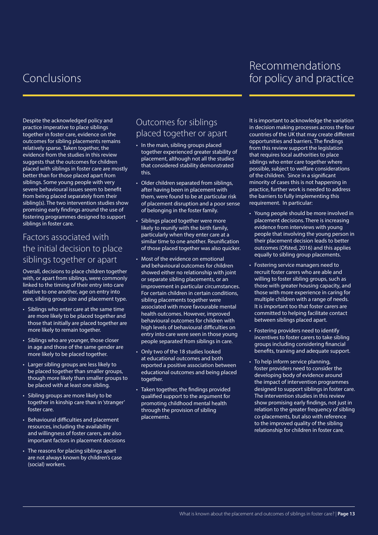# Conclusions

## Recommendations for policy and practice

Despite the acknowledged policy and practice imperative to place siblings together in foster care, evidence on the outcomes for sibling placements remains relatively sparse. Taken together, the evidence from the studies in this review suggests that the outcomes for children placed with siblings in foster care are mostly better than for those placed apart from siblings. Some young people with very severe behavioural issues seem to benefit from being placed separately from their sibling(s). The two intervention studies show promising early findings around the use of fostering programmes designed to support siblings in foster care.

### Factors associated with the initial decision to place siblings together or apart

Overall, decisions to place children together with, or apart from siblings, were commonly linked to the timing of their entry into care relative to one another, age on entry into care, sibling group size and placement type.

- • Siblings who enter care at the same time are more likely to be placed together and those that initially are placed together are more likely to remain together.
- Siblings who are younger, those closer in age and those of the same gender are more likely to be placed together.
- Larger sibling groups are less likely to be placed together than smaller groups, though more likely than smaller groups to be placed with at least one sibling.
- • Sibling groups are more likely to be together in kinship care than in 'stranger' foster care.
- • Behavioural difficulties and placement resources, including the availability and willingness of foster carers, are also important factors in placement decisions
- The reasons for placing siblings apart are not always known by children's case (social) workers.

## Outcomes for siblings placed together or apart

- In the main, sibling groups placed together experienced greater stability of placement, although not all the studies that considered stability demonstrated this.
- Older children separated from siblings, after having been in placement with them, were found to be at particular risk of placement disruption and a poor sense of belonging in the foster family.
- Siblings placed together were more likely to reunify with the birth family, particularly when they enter care at a similar time to one another. Reunification of those placed together was also quicker.
- Most of the evidence on emotional and behavioural outcomes for children showed either no relationship with joint or separate sibling placements, or an improvement in particular circumstances. For certain children in certain conditions, sibling placements together were associated with more favourable mental health outcomes. However, improved behavioural outcomes for children with high levels of behavioural difficulties on entry into care were seen in those young people separated from siblings in care.
- Only two of the 18 studies looked at educational outcomes and both reported a positive association between educational outcomes and being placed together.
- Taken together, the findings provided qualified support to the argument for promoting childhood mental health through the provision of sibling placements.

It is important to acknowledge the variation in decision making processes across the four countries of the UK that may create different opportunities and barriers. The findings from this review support the legislation that requires local authorities to place siblings who enter care together where possible, subject to welfare considerations of the children. Since in a significant minority of cases this is not happening in practice, further work is needed to address the barriers to fully implementing this requirement. In particular:

- Young people should be more involved in placement decisions. There is increasing evidence from interviews with young people that involving the young person in their placement decision leads to better outcomes (Ofsted, 2016) and this applies equally to sibling group placements.
- Fostering service managers need to recruit foster carers who are able and willing to foster sibling groups, such as those with greater housing capacity, and those with more experience in caring for multiple children with a range of needs. It is important too that foster carers are committed to helping facilitate contact between siblings placed apart.
- Fostering providers need to identify incentives to foster carers to take sibling groups including considering financial benefits, training and adequate support.
- To help inform service planning, foster providers need to consider the developing body of evidence around the impact of intervention programmes designed to support siblings in foster care. The intervention studies in this review show promising early findings, not just in relation to the greater frequency of sibling co-placements, but also with reference to the improved quality of the sibling relationship for children in foster care.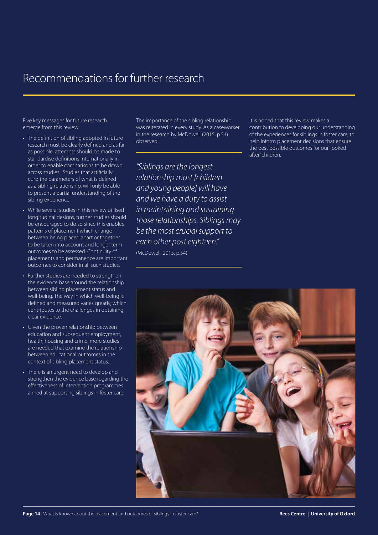## Recommendations for further research

Five key messages for future research emerge from this review:

- The definition of sibling adopted in future research must be clearly defined and as far as possible, attempts should be made to standardise definitions internationally in order to enable comparisons to be drawn across studies. Studies that artificially curb the parameters of what is defined as a sibling relationship, will only be able to present a partial understanding of the sibling experience.
- While several studies in this review utilised longitudinal designs, further studies should be encouraged to do so since this enables patterns of placement which change between being placed apart or together to be taken into account and longer term outcomes to be assessed. Continuity of placements and permanence are important outcomes to consider in all such studies.
- Further studies are needed to strengthen the evidence base around the relationship between sibling placement status and well-being. The way in which well-being is defined and measured varies greatly, which contributes to the challenges in obtaining clear evidence.
- Given the proven relationship between education and subsequent employment, health, housing and crime, more studies are needed that examine the relationship between educational outcomes in the context of sibling placement status.
- There is an urgent need to develop and strengthen the evidence base regarding the effectiveness of intervention programmes aimed at supporting siblings in foster care.

The importance of the sibling relationship was reiterated in every study. As a caseworker in the research by McDowell (2015, p.54) observed:

*"Siblings are the longest relationship most [children and young people] will have and we have a duty to assist in maintaining and sustaining those relationships. Siblings may be the most crucial support to each other post eighteen."* (McDowell, 2015, p.54)

It is hoped that this review makes a contribution to developing our understanding of the experiences for siblings in foster care, to help inform placement decisions that ensure the best possible outcomes for our 'looked after' children.

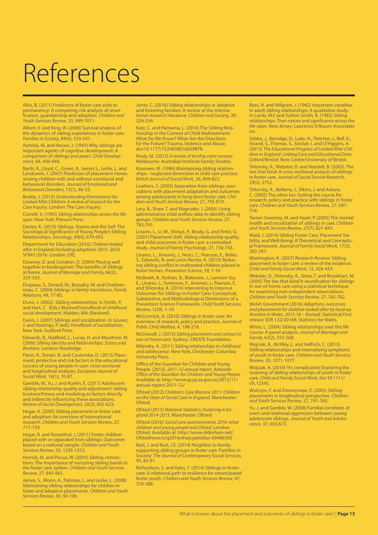# References

Akin, B. (2011) Predictors of foster care exits to permanency: A competing risk analysis of reunification, guardianship and adoption. *Children and Youth Services Review*, 33, 999-1011.

Albert, V. and King, W. (2008) Survival analysis of the dynamics of sibling experiences in foster care. *Families in Society*, 89(4), 533-541.

Azmitia, M. and Hesser, J. (1993) Why siblings are important agents of cognitive development: A comparison of siblings and peers. *Child Development*, 64, 430-444.

Barth, R., Lloyd, C., Green, R., James S., Leslie, L. and Landsverk, J. (2007) Predictors of placement moves among children with and without emotional and behavioral disorders. *Journal of Emotional and Behavioral Disorders*, 15(1), 46-55.

Boddy, J. (2013) *Understanding Permanence for Looked After Children: A review of research for the Care Inquiry*. London: The Care Inquiry.

Cicirelli, V. (1995) *Sibling relationships across the lifespan*. New York: Plenum Press.

Davies, K. (2015) Siblings, Stories and the Self: The Sociological Significance of Young People's Sibling Relationships. *Sociology*, 49(4), 679-695.

Department for Education (2016) *Children looked after in England (including adoption): 2015 -2016.* SFR41/2016. London: DfE.

Downey, D. and Condron, D. (2004) Playing well together in kindergarten: The benefits of siblings at home. *Journal of Marriage and Family,* 66(2), 333-350.

Drapeau, S., Simard, M., Beaudry, M. and Charbonneau, C. (2004) Siblings in family transitions. *Family Relations*, 49, 77-85.

Dunn, J. (2002). Sibling relationships. In Smith, P. and Hart, C. (Eds.) *Blackwell handbook of childhood social development.* Malden, MA: Blackwell.

Dunn, J. (2007) Siblings and socialization. In Grusec, J. and Hastings, P. (eds) *Handbook of socialization*, New York: Guilford Press.

Edwards, R., Hadfield, L., Lucey, H. and Mauthner, M. (2006) *Sibling Identity and Relationships: Sisters and Brothers.* London: Routledge.

Flynn, R., Tessier, N. and Coulombe, D. (2013) Placement, protective and risk factors in the educational success of young people in care: cross-sectional and longitudinal analyses. *European Journal of Social Work,* 16(1), 70-87.

Gamble, W., Yu, J. and Kuehn, E. (2011) Adolescent sibling relationship quality and adjustment: sibling trustworthiness and modeling as factors directly and indirectly influencing these associations. *Review of Social Development,* 20(3), 605-623.

Hegar, R. (2005) Sibling placement in foster care and adoption: An overview of international research. *Children and Youth Services Review*, 27, 717-739.

Hegar, R. and Rosenthal, J. (2011) Foster children placed with or separated from siblings: Outcomes based on a national sample. *Children and Youth Services Review*, 33, 1245-1253.

Herrick, M. and Piccus, W. (2005) Sibling connections: The importance of nurturing sibling bonds in the foster care system. *Children and Youth Services Review*, 27, 845-961.

James, S., Monn, A., Palinkas, L. and Leslie, L. (2008) Maintaining sibling relationships for children in foster and adoptive placements. *Children and Youth Services Review*, 30, 90-106.

Jones. C. (2016) Sibling relationships in adoptive and fostering families: A review of the international research literature. *Children and Society*, 30, 324-334.

Katz, C. and Hamama, L. (2016) The Sibling Relationship in the Context of Child Maltreatment: What Do We Know? What Are the Directions for the Future? Trauma, Violence and Abuse, doi:10.1177/1524838016659878.

Kiraly, M. (2015) *A review of kinship carer surveys*. Melbourne: Australian Institute Family Studies.

Kosonen, M. (1996) Maintaining sibling relationships - neglected dimension in child care practice. *British Journal of Social Work,* 26, 809-822.

Leathers, S. (2005) Separation from siblings: associations with placement adaptation and outcomes among adolescents in long-term foster care. *Children and Youth Services Review,* 27, 793-819.

Lery, B., Shaw, T. and Magruder, J. (2005) Using administrative child welfare data to identify sibling groups. *Children and Youth Services Review*, 27, 783-791.

Linares, L., Li, M., Shrout, P., Brody, G. and Pettit, G. (2007) Placement shift, sibling relationship quality, and child outcomes in foster care: a controlled study. *Journal of Family Psychology*, 21, 736-743.

Linares, L., Jimenez, J., Nesci, C., Pearson, E., Beller, S., Edwards, N. and Levin-Rector, A. (2015) Reducing sibling conflict in maltreated children placed in foster homes. *Prevention Science,* 39, 1-10.

McBeath, B., Kothari, B., Blakeslee, J., Lamson-Siu, E., Linares, L., Sorenson, P., Jimenez, J., Pearson, E. and Shlonsky, A. (2014) Intervening to Improve Outcomes for Siblings in Foster Care: Conceptual, Substantive, and Methodological Dimensions of a Prevention Science Framework. *Child Youth Services Review*, 1(39), 1-10.

McCormick, A. (2010) Siblings in foster care: An overview of research, policy and practice. *Journal of Public Child Welfare*, 4, 198-218.

McDowall, J. (2015) *Sibling placement and contact in out-of-home care*. Sydney: CREATE Foundation.

Milevsky, A. (2011) *Sibling relationships in childhood and adolescence.* New York, Chichester: Columbia University Press.

Office of the Guardian for Children and Young People. (2012). *2011-12 annual report. Adelaide: Office of the Guardian for Children and Young People.* Available at: http://www.gcyp.sa.gov.au/2012/11/ annual-report-2011-12/

Ofsted (2012) *Children's Care Monitor 2011: Children on the State of Social Care in England*. Manchester: **Ofsted** 

Ofsted (2015) *National Statistics, Fostering in England 2014-2015*. Manchester: Ofsted.

Ofsted (2016) *Social care questionnaires 2016: what children and young people told Ofsted*. London: Ofsted. Available at: http://www.slideshare.net/ Ofstednews/scq2016whatcyptoldus-69486300

Rast, J. and Rast, J.E. (2014) Neighbor to family: supporting sibling groups in foster care. Families in Society: *The Journal of Contemporary Social Services,* 95, 83-91.

Richardson, S. and Yates, T. (2014) Siblings in foster care: A relational path to resilience for emancipated foster youth. *Children and Youth Services Review,* 47, 378-388.

Ross, H. and Milgram, J. (1982) Important variables in adult sibling relationships: A qualitative study. In Lamb, M.E and Sutton-Smith, B. (1982) *Sibling relationships: Their nature and significance across the life-span,* New Jersey: Lawrence Erlbaum Associates Inc.

Sebba, J., Berridge, D., Luke, N., Fletcher, J., Bell, K., Strand, S., Thomas, S., Sinclair, I. and O'Higgins, A. (2015) *The Educational Progress of Looked After Children in England: Linking Care and Educational Data*. Oxford/Bristol: Rees Centre/University of Bristol. Shlonsky, A., Webster, D. and Needell, B. (2003). The ties that bind: A cross-sectional analysis of siblings in foster care. *Journal of Social Service Research*, 29(3), 2752.

Shlonsky, A., Bellamy, J., Elkins, J. and Ashare, C. (2005) The other kin: Setting the course for research, policy and practice with siblings in foster care. *Children and Youth Services Review*, 27, 697- 716.

Tarren-Sweeney, M. and Hazel, P. (2005) The mental health and socialization of siblings in care. *Children and Youth Services Review*, 27(7), 821-843.

Waid, J. (2014) Sibling Foster Care, Placement Stability, and Well-Being: A Theoretical and Conceptual Framework. *Journal of Family Social Work*, 17(3), 283-297.

Washington, K. (2007) Research Review: Sibling placement in foster care: a review of the evidence. *Child and Family Social Work*, 12, 426-433.

Webster, D., Shlonsky, A., Shaw, T. and Brookhart, M. (2005) The ties that bind II: reunification for siblings in out-of-home care using a statistical technique for examining non-independent observations. *Children and Youth Services Review*, 27, 765-782.

Welsh Government (2016) *Adoptions, outcomes and placements for children looked after by local authorities in Wales, 2015-16 – Revised*. Statistical First release SDR 132/2016R. Statistics for Wales.

White, L. (2004) Sibling relationships over the life course: A panel analysis. *Journal of Marriage and Family,* 63(2), 555-568.

Wojciak, A., McWey, L. and Helfrich, C. (2013) Sibling relationships and internalizing symptoms of youth in foster care. *Children and Youth Services Review*, 35, 1071-1077.

Wojciak, A. (2016) 'It's complicated.' Exploring the meaning of sibling relationships of youth in foster care. *Child and Family Social Work,* doi:10.1111/ cfs.12345.

Wulczyn, F. and Zimmerman, E. (2005) Sibling placements in longitudinal perspective. *Children and Youth Services Review*, 27, 741-763.

Yu, J. and Gamble, W. (2008) Familial correlates of overt and relational aggression between young adolescent siblings. *Journal of Youth and Adolescence,* 37, 655.673.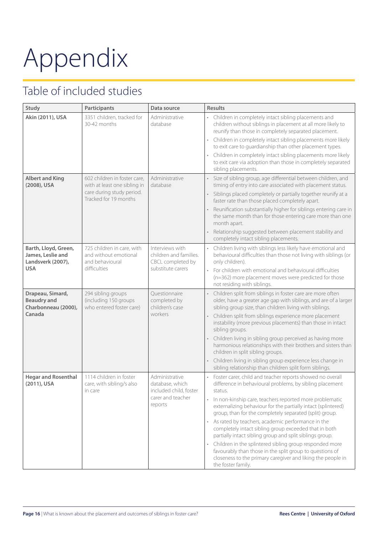# Appendix

# Table of included studies

| Study                                                                                                                                    | Participants                                                                                         | Data source                                                                                                                                                                         | <b>Results</b>                                                                                                                                                                                           |
|------------------------------------------------------------------------------------------------------------------------------------------|------------------------------------------------------------------------------------------------------|-------------------------------------------------------------------------------------------------------------------------------------------------------------------------------------|----------------------------------------------------------------------------------------------------------------------------------------------------------------------------------------------------------|
| Akin (2011), USA                                                                                                                         | 3351 children, tracked for<br>30-42 months                                                           | Administrative<br>database                                                                                                                                                          | • Children in completely intact sibling placements and<br>children without siblings in placement at all more likely to<br>reunify than those in completely separated placement.                          |
|                                                                                                                                          |                                                                                                      |                                                                                                                                                                                     | Children in completely intact sibling placements more likely<br>to exit care to guardianship than other placement types.                                                                                 |
|                                                                                                                                          |                                                                                                      |                                                                                                                                                                                     | Children in completely intact sibling placements more likely<br>to exit care via adoption than those in completely separated<br>sibling placements.                                                      |
| <b>Albert and King</b><br>602 children in foster care.<br>with at least one sibling in<br>(2008), USA                                    | Administrative<br>database                                                                           | Size of sibling group, age differential between children, and<br>timing of entry into care associated with placement status.                                                        |                                                                                                                                                                                                          |
|                                                                                                                                          | care during study period.<br>Tracked for 19 months                                                   |                                                                                                                                                                                     | Siblings placed completely or partially together reunify at a<br>faster rate than those placed completely apart.                                                                                         |
|                                                                                                                                          |                                                                                                      |                                                                                                                                                                                     | Reunification substantially higher for siblings entering care in<br>$\bullet$<br>the same month than for those entering care more than one<br>month apart.                                               |
|                                                                                                                                          |                                                                                                      |                                                                                                                                                                                     | Relationship suggested between placement stability and<br>completely intact sibling placements.                                                                                                          |
| Barth, Lloyd, Green,<br>725 children in care, with<br>James, Leslie and<br>and without emotional<br>Landsverk (2007),<br>and behavioural | Interviews with<br>children and families.<br>CBCL completed by                                       | Children living with siblings less likely have emotional and<br>behavioural difficulties than those not living with siblings (or<br>only children).                                 |                                                                                                                                                                                                          |
| <b>USA</b>                                                                                                                               | difficulties                                                                                         | substitute carers                                                                                                                                                                   | • For children with emotional and behavioural difficulties<br>(n=362) more placement moves were predicted for those<br>not residing with siblings.                                                       |
| Drapeau, Simard,<br><b>Beaudry and</b><br>Charbonneau (2000),                                                                            | 294 sibling groups<br>(including 150 groups<br>who entered foster care)                              | Questionnaire<br>completed by<br>children's case                                                                                                                                    | Children split from siblings in foster care are more often<br>older, have a greater age gap with siblings, and are of a larger<br>sibling group size, than children living with siblings.                |
| Canada                                                                                                                                   | workers                                                                                              |                                                                                                                                                                                     | Children split from siblings experience more placement<br>instability (more previous placements) than those in intact<br>sibling groups.                                                                 |
|                                                                                                                                          |                                                                                                      |                                                                                                                                                                                     | Children living in sibling group perceived as having more<br>harmonious relationships with their brothers and sisters than<br>children in split sibling groups.                                          |
|                                                                                                                                          |                                                                                                      |                                                                                                                                                                                     | Children living in sibling group experience less change in<br>sibling relationship than children split form siblings.                                                                                    |
| <b>Hegar and Rosenthal</b><br>(2011), USA                                                                                                | 1114 children in foster<br>Administrative<br>database, which<br>care, with sibling/s also<br>in care | included child, foster                                                                                                                                                              | Foster carer, child and teacher reports showed no overall<br>difference in behavioural problems, by sibling placement<br>status.                                                                         |
|                                                                                                                                          | carer and teacher<br>reports                                                                         | In non-kinship care, teachers reported more problematic<br>externalizing behaviour for the partially intact (splintered)<br>group, than for the completely separated (split) group. |                                                                                                                                                                                                          |
|                                                                                                                                          |                                                                                                      |                                                                                                                                                                                     | As rated by teachers, academic performance in the<br>completely intact sibling group exceeded that in both<br>partially intact sibling group and split siblings group.                                   |
|                                                                                                                                          |                                                                                                      |                                                                                                                                                                                     | Children in the splintered sibling group responded more<br>favourably than those in the split group to questions of<br>closeness to the primary caregiver and liking the people in<br>the foster family. |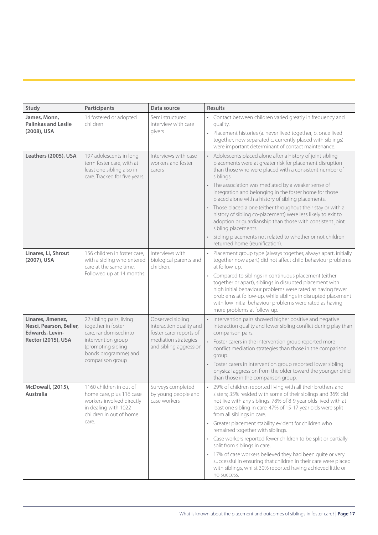| Study                                                                                 | Participants                                                                                                                                                    | Data source                                                                                                              | <b>Results</b>                                                                                                                                                                                                                                                                                                                                                                                                                                                                                                                                                                                                                                                                                        |
|---------------------------------------------------------------------------------------|-----------------------------------------------------------------------------------------------------------------------------------------------------------------|--------------------------------------------------------------------------------------------------------------------------|-------------------------------------------------------------------------------------------------------------------------------------------------------------------------------------------------------------------------------------------------------------------------------------------------------------------------------------------------------------------------------------------------------------------------------------------------------------------------------------------------------------------------------------------------------------------------------------------------------------------------------------------------------------------------------------------------------|
| James, Monn,<br><b>Palinkas and Leslie</b><br>(2008), USA                             | 14 fostered or adopted<br>children                                                                                                                              | Semi structured<br>interview with care<br>givers                                                                         | • Contact between children varied greatly in frequency and<br>quality.<br>· Placement histories (a. never lived together, b. once lived<br>together, now separated c. currently placed with siblings)<br>were important determinant of contact maintenance.                                                                                                                                                                                                                                                                                                                                                                                                                                           |
| Leathers (2005), USA                                                                  | 197 adolescents in long<br>term foster care, with at<br>least one sibling also in<br>care. Tracked for five years.                                              | Interviews with case<br>workers and foster<br>carers                                                                     | Adolescents placed alone after a history of joint sibling<br>placements were at greater risk for placement disruption<br>than those who were placed with a consistent number of<br>siblings.<br>The association was mediated by a weaker sense of<br>integration and belonging in the foster home for those<br>placed alone with a history of sibling placements.<br>Those placed alone (either throughout their stay or with a<br>history of sibling co-placement) were less likely to exit to<br>adoption or guardianship than those with consistent joint<br>sibling placements.<br>Sibling placements not related to whether or not children<br>returned home (reunification).                    |
| Linares, Li, Shrout<br>(2007), USA                                                    | 156 children in foster care,<br>with a sibling who entered<br>care at the same time.<br>Followed up at 14 months.                                               | Interviews with<br>biological parents and<br>children.                                                                   | Placement group type (always together, always apart, initially<br>together now apart) did not affect child behaviour problems<br>at follow-up.<br>Compared to siblings in continuous placement (either<br>together or apart), siblings in disrupted placement with<br>high initial behaviour problems were rated as having fewer<br>problems at follow-up, while siblings in disrupted placement<br>with low initial behaviour problems were rated as having<br>more problems at follow-up.                                                                                                                                                                                                           |
| Linares, Jimenez,<br>Nesci, Pearson, Beller,<br>Edwards, Levin-<br>Rector (2015), USA | 22 sibling pairs, living<br>together in foster<br>care, randomised into<br>intervention group<br>(promoting sibling<br>bonds programme) and<br>comparison group | Observed sibling<br>interaction quality and<br>foster carer reports of<br>mediation strategies<br>and sibling aggression | Intervention pairs showed higher positive and negative<br>interaction quality and lower sibling conflict during play than<br>comparison pairs.<br>Foster carers in the intervention group reported more<br>conflict mediation strategies than those in the comparison<br>group.<br>Foster carers in intervention group reported lower sibling<br>physical aggression from the older toward the younger child<br>than those in the comparison group.                                                                                                                                                                                                                                                   |
| McDowall, (2015),<br><b>Australia</b>                                                 | 1160 children in out of<br>home care, plus 116 case<br>workers involved directly<br>in dealing with 1022<br>children in out of home<br>care.                    | Surveys completed<br>by young people and<br>case workers                                                                 | 29% of children reported living with all their brothers and<br>sisters; 35% resided with some of their siblings and 36% did<br>not live with any siblings. 78% of 8-9 year olds lived with at<br>least one sibling in care, 47% of 15-17 year olds were split<br>from all siblings in care.<br>Greater placement stability evident for children who<br>remained together with siblings.<br>Case workers reported fewer children to be split or partially<br>split from siblings in care.<br>17% of case workers believed they had been quite or very<br>successful in ensuring that children in their care were placed<br>with siblings, whilst 30% reported having achieved little or<br>no success. |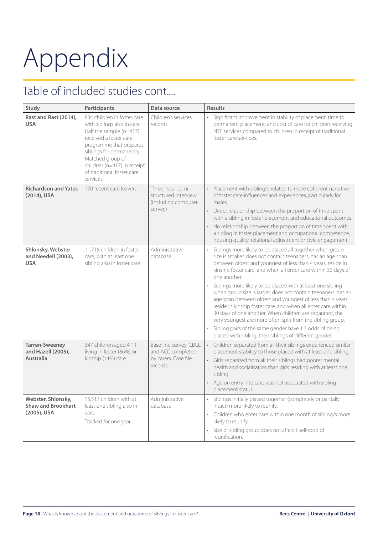# Appendix

# Table of included studies cont....

| Study                                                          | Participants                                                                                                                                                                                                                                                        | Data source                                                                     | <b>Results</b>                                                                                                                                                                                                                                                                                                                                                                                                                                                                                                                                                                                                                                                                                                                                                                            |
|----------------------------------------------------------------|---------------------------------------------------------------------------------------------------------------------------------------------------------------------------------------------------------------------------------------------------------------------|---------------------------------------------------------------------------------|-------------------------------------------------------------------------------------------------------------------------------------------------------------------------------------------------------------------------------------------------------------------------------------------------------------------------------------------------------------------------------------------------------------------------------------------------------------------------------------------------------------------------------------------------------------------------------------------------------------------------------------------------------------------------------------------------------------------------------------------------------------------------------------------|
| Rast and Rast (2014),<br><b>USA</b>                            | 834 children in foster care<br>with siblings also in care<br>Half the sample (n=417)<br>received a foster care<br>programme that prepares<br>siblings for permanency.<br>Matched group of<br>children (n=417) in receipt<br>of traditional foster care<br>services. | Children's services<br>records                                                  | Significant improvement in stability of placement, time to<br>permanent placement, and cost of care for children receiving<br>NTF services compared to children in receipt of traditional<br>foster care services.                                                                                                                                                                                                                                                                                                                                                                                                                                                                                                                                                                        |
| <b>Richardson and Yates</b><br>(2014), USA                     | 170 recent care leavers.                                                                                                                                                                                                                                            | Three-hour semi-<br>structured interview<br>(including computer<br>survey)      | Placement with sibling/s related to more coherent narrative<br>of foster care influences and experiences, particularly for<br>males.<br>Direct relationship between the proportion of time spent<br>with a sibling in foster placement and educational outcomes.<br>No relationship between the proportion of time spent with<br>a sibling in foster placement and occupational competence,<br>housing quality, relational adjustment or civic engagement.                                                                                                                                                                                                                                                                                                                                |
| Shlonsky, Webster<br>and Needell (2003),<br><b>USA</b>         | 11,718 children in foster<br>care, with at least one<br>sibling also in foster care.                                                                                                                                                                                | Administrative<br>database                                                      | Siblings more likely to be placed all together when group<br>size is smaller, does not contain teenagers, has an age span<br>between oldest and youngest of less than 4 years, reside in<br>kinship foster care, and when all enter care within 30 days of<br>one another.<br>Siblings more likely to be placed with at least one sibling<br>when group size is larger, does not contain teenagers, has an<br>age span between oldest and youngest of less than 4 years,<br>reside in kinship foster care, and when all enter care within<br>30 days of one another. When children are separated, the<br>very youngest are more often split from the sibling group.<br>Sibling pairs of the same gender have 1.5 odds of being<br>placed with sibling, then siblings of different gender. |
| <b>Tarren-Sweeney</b><br>and Hazell (2005),<br>Australia       | 347 children aged 4-11<br>living in foster (86%) or<br>kinship (14%) care.                                                                                                                                                                                          | Base line survey, CBCL<br>and ACC completed<br>by carers. Case file<br>records. | Children separated from all their siblings experienced similar<br>placement stability to those placed with at least one sibling.<br>• Girls separated from all their siblings had poorer mental<br>health and socialisation than girls residing with at least one<br>sibling.<br>Age on entry into care was not associated with sibling<br>placement status.                                                                                                                                                                                                                                                                                                                                                                                                                              |
| Webster, Shlonsky,<br><b>Shaw and Brookhart</b><br>(2005), USA | 15,517 children with at<br>least one sibling also in<br>care.<br>Tracked for one year                                                                                                                                                                               | Administrative<br>database                                                      | Siblings initially placed together (completely or partially<br>intact) more likely to reunify.<br>• Children who enter care within one month of sibling/s more<br>likely to reunify.<br>Size of sibling group does not affect likelihood of<br>reunification.                                                                                                                                                                                                                                                                                                                                                                                                                                                                                                                             |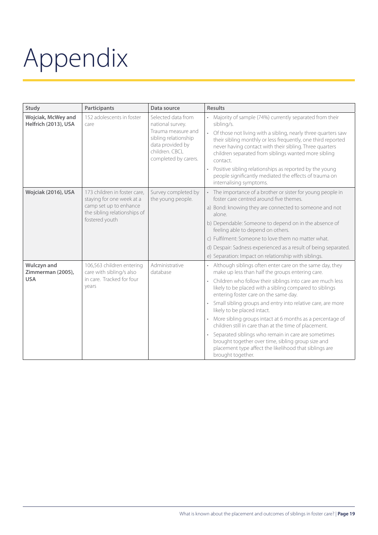# Appendix

| Study                                                 | Participants                                                                                                                          | Data source                                                                                                                                        | <b>Results</b>                                                                                                                                                                                                                                                                                                                                                                                                                                                                                                                                                                                                                                                                                                           |
|-------------------------------------------------------|---------------------------------------------------------------------------------------------------------------------------------------|----------------------------------------------------------------------------------------------------------------------------------------------------|--------------------------------------------------------------------------------------------------------------------------------------------------------------------------------------------------------------------------------------------------------------------------------------------------------------------------------------------------------------------------------------------------------------------------------------------------------------------------------------------------------------------------------------------------------------------------------------------------------------------------------------------------------------------------------------------------------------------------|
| Wojciak, McWey and<br>Helfrich (2013), USA            | 152 adolescents in foster<br>care                                                                                                     | Selected data from<br>national survey.<br>Trauma measure and<br>sibling relationship<br>data provided by<br>children. CBCL<br>completed by carers. | Majority of sample (74%) currently separated from their<br>sibling/s.<br>Of those not living with a sibling, nearly three quarters saw<br>their sibling monthly or less frequently, one third reported<br>never having contact with their sibling. Three quarters<br>children separated from siblings wanted more sibling<br>contact.<br>Positive sibling relationships as reported by the young<br>$\bullet$<br>people significantly mediated the effects of trauma on<br>internalising symptoms.                                                                                                                                                                                                                       |
| Wojciak (2016), USA                                   | 173 children in foster care.<br>staying for one week at a<br>camp set up to enhance<br>the sibling relationships of<br>fostered youth | Survey completed by<br>the young people.                                                                                                           | The importance of a brother or sister for young people in<br>foster care centred around five themes<br>a) Bond: knowing they are connected to someone and not<br>alone.<br>b) Dependable: Someone to depend on in the absence of<br>feeling able to depend on others.<br>c) Fulfilment: Someone to love them no matter what.<br>d) Despair: Sadness experienced as a result of being separated.<br>e) Separation: Impact on relationship with siblings.                                                                                                                                                                                                                                                                  |
| <b>Wulczyn and</b><br>Zimmerman (2005),<br><b>USA</b> | 106,563 children entering<br>care with sibling/s also<br>in care. Tracked for four<br>years                                           | Administrative<br>database                                                                                                                         | Although siblings often enter care on the same day, they<br>make up less than half the groups entering care.<br>Children who follow their siblings into care are much less<br>$\bullet$<br>likely to be placed with a sibling compared to siblings<br>entering foster care on the same day.<br>Small sibling groups and entry into relative care, are more<br>likely to be placed intact.<br>More sibling groups intact at 6 months as a percentage of<br>$\bullet$<br>children still in care than at the time of placement.<br>Separated siblings who remain in care are sometimes<br>brought together over time, sibling group size and<br>placement type affect the likelihood that siblings are<br>brought together. |